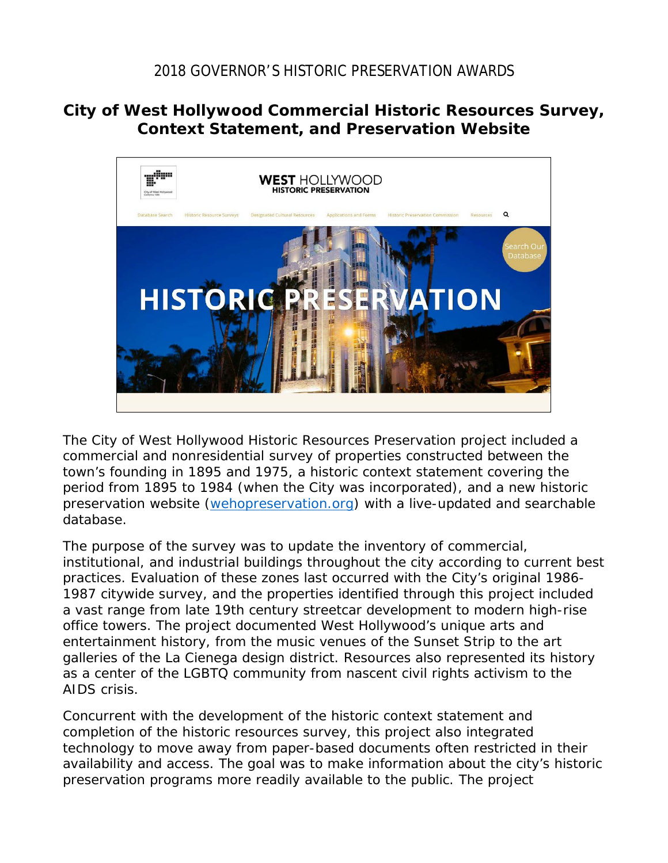## 2018 GOVERNOR'S HISTORIC PRESERVATION AWARDS

## **City of West Hollywood Commercial Historic Resources Survey, Context Statement, and Preservation Website**



The City of West Hollywood Historic Resources Preservation project included a commercial and nonresidential survey of properties constructed between the town's founding in 1895 and 1975, a historic context statement covering the period from 1895 to 1984 (when the City was incorporated), and a new historic preservation website [\(wehopreservation.org\)](http://www.wehopreservation.org/) with a live-updated and searchable database.

The purpose of the survey was to update the inventory of commercial, institutional, and industrial buildings throughout the city according to current best practices. Evaluation of these zones last occurred with the City's original 1986- 1987 citywide survey, and the properties identified through this project included a vast range from late 19th century streetcar development to modern high-rise office towers. The project documented West Hollywood's unique arts and entertainment history, from the music venues of the Sunset Strip to the art galleries of the La Cienega design district. Resources also represented its history as a center of the LGBTQ community from nascent civil rights activism to the AIDS crisis.

Concurrent with the development of the historic context statement and completion of the historic resources survey, this project also integrated technology to move away from paper-based documents often restricted in their availability and access. The goal was to make information about the city's historic preservation programs more readily available to the public. The project